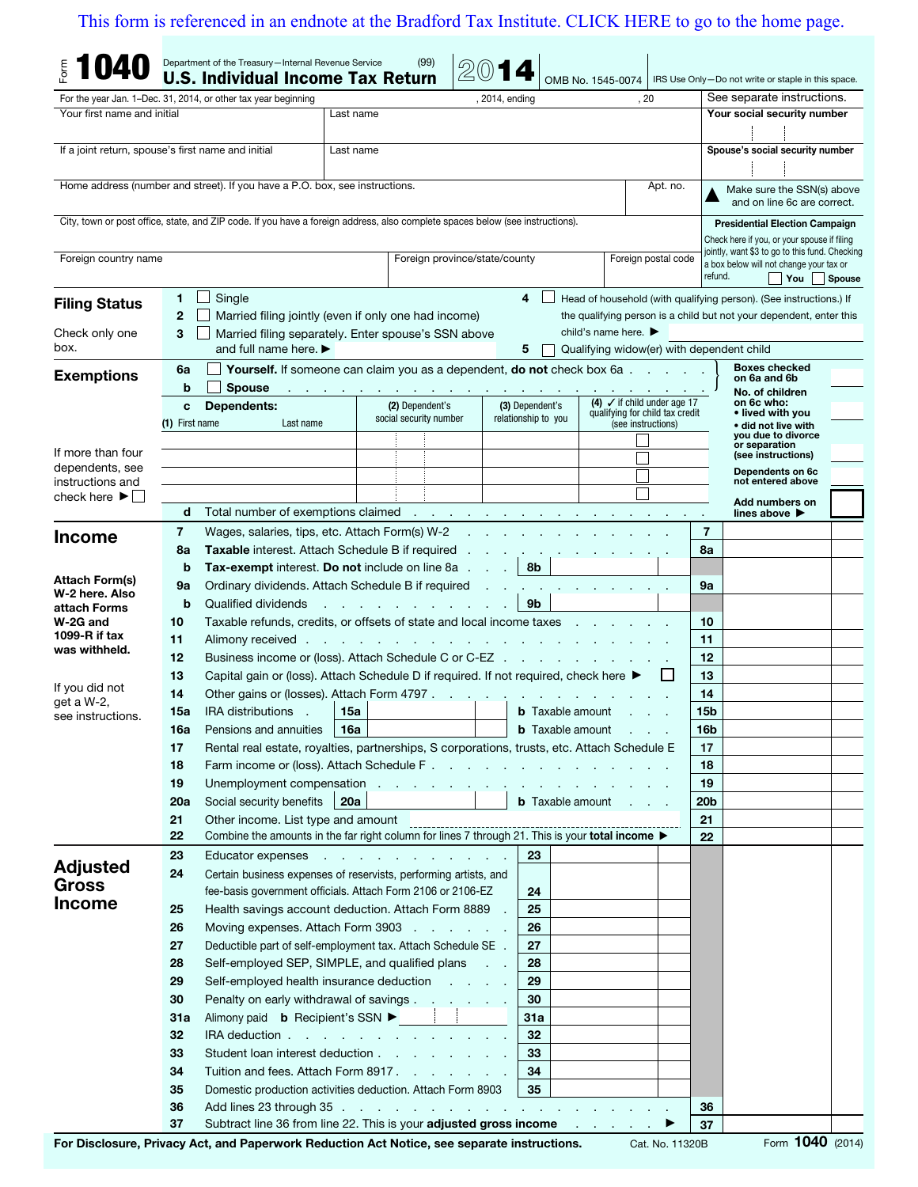## [This form is referenced in an endnote at the Bradford Tax Institute. CLICK HERE to go to the home page.](www.bradfordtaxinstitute.com)

|                                                                              |                                                                               | Department of the Treasury-Internal Revenue Service<br><b>U.S. Individual Income Tax Return</b>                                                                                                                                |                                           | (99)                                                                                                            |                |                                        | OMB No. 1545-0074                         |                                                                           |                                                                                           | IRS Use Only-Do not write or staple in this space.                  |               |
|------------------------------------------------------------------------------|-------------------------------------------------------------------------------|--------------------------------------------------------------------------------------------------------------------------------------------------------------------------------------------------------------------------------|-------------------------------------------|-----------------------------------------------------------------------------------------------------------------|----------------|----------------------------------------|-------------------------------------------|---------------------------------------------------------------------------|-------------------------------------------------------------------------------------------|---------------------------------------------------------------------|---------------|
|                                                                              |                                                                               | For the year Jan. 1–Dec. 31, 2014, or other tax year beginning                                                                                                                                                                 |                                           |                                                                                                                 | , 2014, ending |                                        |                                           | , 20                                                                      |                                                                                           | See separate instructions.                                          |               |
| Your first name and initial                                                  |                                                                               |                                                                                                                                                                                                                                | Last name                                 |                                                                                                                 |                |                                        |                                           |                                                                           |                                                                                           | Your social security number                                         |               |
|                                                                              |                                                                               |                                                                                                                                                                                                                                |                                           |                                                                                                                 |                |                                        |                                           |                                                                           |                                                                                           |                                                                     |               |
| If a joint return, spouse's first name and initial                           |                                                                               |                                                                                                                                                                                                                                | Last name                                 |                                                                                                                 |                |                                        |                                           |                                                                           |                                                                                           | Spouse's social security number                                     |               |
|                                                                              |                                                                               |                                                                                                                                                                                                                                |                                           |                                                                                                                 |                |                                        |                                           |                                                                           |                                                                                           |                                                                     |               |
|                                                                              |                                                                               | Home address (number and street). If you have a P.O. box, see instructions.                                                                                                                                                    |                                           |                                                                                                                 |                |                                        |                                           | Apt. no.                                                                  |                                                                                           | Make sure the SSN(s) above                                          |               |
|                                                                              |                                                                               |                                                                                                                                                                                                                                |                                           |                                                                                                                 |                |                                        |                                           |                                                                           |                                                                                           | and on line 6c are correct.                                         |               |
|                                                                              |                                                                               | City, town or post office, state, and ZIP code. If you have a foreign address, also complete spaces below (see instructions).                                                                                                  |                                           |                                                                                                                 |                |                                        |                                           |                                                                           |                                                                                           | <b>Presidential Election Campaign</b>                               |               |
|                                                                              |                                                                               |                                                                                                                                                                                                                                |                                           |                                                                                                                 |                |                                        |                                           |                                                                           |                                                                                           | Check here if you, or your spouse if filing                         |               |
| Foreign country name<br>Foreign province/state/county<br>Foreign postal code |                                                                               |                                                                                                                                                                                                                                |                                           |                                                                                                                 |                |                                        |                                           |                                                                           | jointly, want \$3 to go to this fund. Checking<br>a box below will not change your tax or |                                                                     |               |
|                                                                              |                                                                               |                                                                                                                                                                                                                                |                                           |                                                                                                                 |                |                                        |                                           |                                                                           | refund.                                                                                   | $\mathsf{T}$ You                                                    | <b>Spouse</b> |
| <b>Filing Status</b>                                                         | 1                                                                             | Single                                                                                                                                                                                                                         |                                           |                                                                                                                 |                | 4                                      |                                           |                                                                           |                                                                                           | Head of household (with qualifying person). (See instructions.) If  |               |
|                                                                              | $\mathbf{2}$                                                                  | Married filing jointly (even if only one had income)                                                                                                                                                                           |                                           |                                                                                                                 |                |                                        |                                           |                                                                           |                                                                                           | the qualifying person is a child but not your dependent, enter this |               |
| Check only one                                                               | 3                                                                             | Married filing separately. Enter spouse's SSN above                                                                                                                                                                            |                                           |                                                                                                                 |                |                                        | child's name here. $\blacktriangleright$  |                                                                           |                                                                                           |                                                                     |               |
| box.                                                                         |                                                                               | and full name here. $\blacktriangleright$                                                                                                                                                                                      |                                           |                                                                                                                 |                | 5                                      | Qualifying widow(er) with dependent child |                                                                           |                                                                                           |                                                                     |               |
| <b>Exemptions</b>                                                            | Yourself. If someone can claim you as a dependent, do not check box 6a.<br>6a |                                                                                                                                                                                                                                |                                           |                                                                                                                 |                |                                        |                                           |                                                                           |                                                                                           | <b>Boxes checked</b><br>on 6a and 6b                                |               |
|                                                                              | b                                                                             | <b>Spouse</b>                                                                                                                                                                                                                  |                                           | and the company of the company of                                                                               |                |                                        |                                           |                                                                           |                                                                                           | No. of children                                                     |               |
|                                                                              | <b>Dependents:</b><br>C                                                       |                                                                                                                                                                                                                                | (2) Dependent's<br>social security number |                                                                                                                 |                | (3) Dependent's<br>relationship to you |                                           | (4) $\checkmark$ if child under age 17<br>qualifying for child tax credit |                                                                                           | on 6c who:<br>• lived with you                                      |               |
|                                                                              | (1) First name                                                                | Last name                                                                                                                                                                                                                      |                                           |                                                                                                                 |                |                                        |                                           | (see instructions)                                                        |                                                                                           | • did not live with<br>you due to divorce                           |               |
| If more than four                                                            |                                                                               |                                                                                                                                                                                                                                |                                           |                                                                                                                 |                |                                        |                                           |                                                                           |                                                                                           | or separation<br>(see instructions)                                 |               |
| dependents, see                                                              |                                                                               |                                                                                                                                                                                                                                |                                           |                                                                                                                 |                |                                        |                                           |                                                                           |                                                                                           | Dependents on 6c                                                    |               |
| instructions and                                                             |                                                                               |                                                                                                                                                                                                                                |                                           |                                                                                                                 |                |                                        |                                           |                                                                           |                                                                                           | not entered above                                                   |               |
| check here $\blacktriangleright$                                             | d                                                                             | Total number of exemptions claimed example and a series of the series of the series of the series of the series of the series of the series of the series of the series of the series of the series of the series of the serie |                                           |                                                                                                                 |                |                                        |                                           |                                                                           |                                                                                           | Add numbers on<br>lines above $\blacktriangleright$                 |               |
|                                                                              | 7                                                                             | Wages, salaries, tips, etc. Attach Form(s) W-2                                                                                                                                                                                 |                                           |                                                                                                                 |                |                                        |                                           |                                                                           | $\cdot$<br>7                                                                              |                                                                     |               |
| <b>Income</b>                                                                | 8a                                                                            | Taxable interest. Attach Schedule B if required                                                                                                                                                                                |                                           |                                                                                                                 |                |                                        |                                           |                                                                           | 8a                                                                                        |                                                                     |               |
|                                                                              | b                                                                             | <b>Tax-exempt</b> interest. Do not include on line 8a                                                                                                                                                                          |                                           |                                                                                                                 |                | 8b                                     |                                           |                                                                           |                                                                                           |                                                                     |               |
| Attach Form(s)                                                               | 9а                                                                            | Ordinary dividends. Attach Schedule B if required                                                                                                                                                                              |                                           |                                                                                                                 |                |                                        |                                           |                                                                           | 9a                                                                                        |                                                                     |               |
| W-2 here, Also<br>attach Forms                                               | b                                                                             | Qualified dividends                                                                                                                                                                                                            |                                           |                                                                                                                 |                |                                        |                                           |                                                                           |                                                                                           |                                                                     |               |
| W-2G and                                                                     | 10                                                                            | Taxable refunds, credits, or offsets of state and local income taxes                                                                                                                                                           |                                           | the contract of the contract                                                                                    |                | 9b                                     |                                           |                                                                           | 10                                                                                        |                                                                     |               |
| 1099- $R$ if tax                                                             | 11                                                                            | Alimony received.                                                                                                                                                                                                              |                                           | the contract of the contract of the contract of the contract of                                                 |                |                                        |                                           |                                                                           | 11                                                                                        |                                                                     |               |
| was withheld.                                                                | 12                                                                            | Business income or (loss). Attach Schedule C or C-EZ                                                                                                                                                                           |                                           | 12                                                                                                              |                |                                        |                                           |                                                                           |                                                                                           |                                                                     |               |
|                                                                              | 13                                                                            | Capital gain or (loss). Attach Schedule D if required. If not required, check here ▶                                                                                                                                           |                                           | 13                                                                                                              |                |                                        |                                           |                                                                           |                                                                                           |                                                                     |               |
| If you did not<br>get a W-2,                                                 | 14                                                                            | Other gains or (losses). Attach Form 4797                                                                                                                                                                                      |                                           |                                                                                                                 |                |                                        |                                           |                                                                           | 14                                                                                        |                                                                     |               |
| see instructions.                                                            | 15a                                                                           | <b>IRA</b> distributions<br>$\sim$                                                                                                                                                                                             | 15a                                       |                                                                                                                 |                | <b>b</b> Taxable amount                |                                           |                                                                           | 15 <sub>b</sub>                                                                           |                                                                     |               |
|                                                                              | 16a                                                                           | Pensions and annuities                                                                                                                                                                                                         | ∣ 16a                                     |                                                                                                                 |                |                                        | <b>b</b> Taxable amount                   |                                                                           | 16b                                                                                       |                                                                     |               |
|                                                                              | 17                                                                            | Rental real estate, royalties, partnerships, S corporations, trusts, etc. Attach Schedule E                                                                                                                                    |                                           |                                                                                                                 |                |                                        |                                           |                                                                           | 17                                                                                        |                                                                     |               |
|                                                                              | 18                                                                            |                                                                                                                                                                                                                                |                                           |                                                                                                                 |                |                                        |                                           |                                                                           | 18                                                                                        |                                                                     |               |
|                                                                              | 19                                                                            | Unemployment compensation                                                                                                                                                                                                      |                                           |                                                                                                                 |                |                                        |                                           |                                                                           | 19                                                                                        |                                                                     |               |
|                                                                              | 20a                                                                           | Social security benefits                                                                                                                                                                                                       | 20a                                       |                                                                                                                 |                |                                        | <b>b</b> Taxable amount                   |                                                                           | 20 <sub>b</sub>                                                                           |                                                                     |               |
|                                                                              | 21<br>22                                                                      | Other income. List type and amount<br>Utrier income. List type and amount<br>Combine the amounts in the far right column for lines 7 through 21. This is your total income ▶                                                   |                                           |                                                                                                                 |                |                                        |                                           |                                                                           | 21                                                                                        |                                                                     |               |
|                                                                              |                                                                               |                                                                                                                                                                                                                                |                                           |                                                                                                                 |                |                                        |                                           |                                                                           | 22                                                                                        |                                                                     |               |
| <b>Adjusted</b>                                                              | 23<br>24                                                                      | Educator expenses<br>Certain business expenses of reservists, performing artists, and                                                                                                                                          |                                           |                                                                                                                 |                | 23                                     |                                           |                                                                           |                                                                                           |                                                                     |               |
| <b>Gross</b>                                                                 |                                                                               | fee-basis government officials. Attach Form 2106 or 2106-EZ                                                                                                                                                                    |                                           |                                                                                                                 |                | 24                                     |                                           |                                                                           |                                                                                           |                                                                     |               |
| <b>Income</b>                                                                | 25                                                                            | Health savings account deduction. Attach Form 8889                                                                                                                                                                             |                                           |                                                                                                                 |                | 25                                     |                                           |                                                                           |                                                                                           |                                                                     |               |
|                                                                              | 26                                                                            | Moving expenses. Attach Form 3903                                                                                                                                                                                              |                                           |                                                                                                                 |                | 26                                     |                                           |                                                                           |                                                                                           |                                                                     |               |
|                                                                              | 27                                                                            | Deductible part of self-employment tax. Attach Schedule SE .                                                                                                                                                                   |                                           |                                                                                                                 |                | 27                                     |                                           |                                                                           |                                                                                           |                                                                     |               |
|                                                                              | 28                                                                            | Self-employed SEP, SIMPLE, and qualified plans                                                                                                                                                                                 |                                           |                                                                                                                 |                | 28                                     |                                           |                                                                           |                                                                                           |                                                                     |               |
|                                                                              | 29                                                                            | Self-employed health insurance deduction                                                                                                                                                                                       |                                           |                                                                                                                 |                | 29                                     |                                           |                                                                           |                                                                                           |                                                                     |               |
|                                                                              | 30                                                                            | Penalty on early withdrawal of savings                                                                                                                                                                                         |                                           |                                                                                                                 |                | 30                                     |                                           |                                                                           |                                                                                           |                                                                     |               |
|                                                                              | 31a                                                                           | Alimony paid <b>b</b> Recipient's SSN ▶ │ │                                                                                                                                                                                    |                                           |                                                                                                                 |                | 31a                                    |                                           |                                                                           |                                                                                           |                                                                     |               |
|                                                                              | 32                                                                            | IRA deduction                                                                                                                                                                                                                  |                                           |                                                                                                                 |                | 32                                     |                                           |                                                                           |                                                                                           |                                                                     |               |
|                                                                              | 33                                                                            | Student loan interest deduction                                                                                                                                                                                                |                                           |                                                                                                                 |                | 33                                     |                                           |                                                                           |                                                                                           |                                                                     |               |
|                                                                              | 34                                                                            | Tuition and fees. Attach Form 8917.                                                                                                                                                                                            |                                           |                                                                                                                 |                | 34                                     |                                           |                                                                           |                                                                                           |                                                                     |               |
|                                                                              | 35                                                                            | Domestic production activities deduction. Attach Form 8903                                                                                                                                                                     |                                           |                                                                                                                 |                | 35                                     |                                           |                                                                           |                                                                                           |                                                                     |               |
|                                                                              | 36                                                                            |                                                                                                                                                                                                                                |                                           |                                                                                                                 |                |                                        |                                           |                                                                           | 36                                                                                        |                                                                     |               |
|                                                                              | 37                                                                            | Subtract line 36 from line 22. This is your adjusted gross income                                                                                                                                                              |                                           | and a substitute of the contract of the Alberta Contract of the Alberta Contract of the Alberta Contract of the |                |                                        | the control of the con-                   |                                                                           | 37                                                                                        |                                                                     | 1040          |